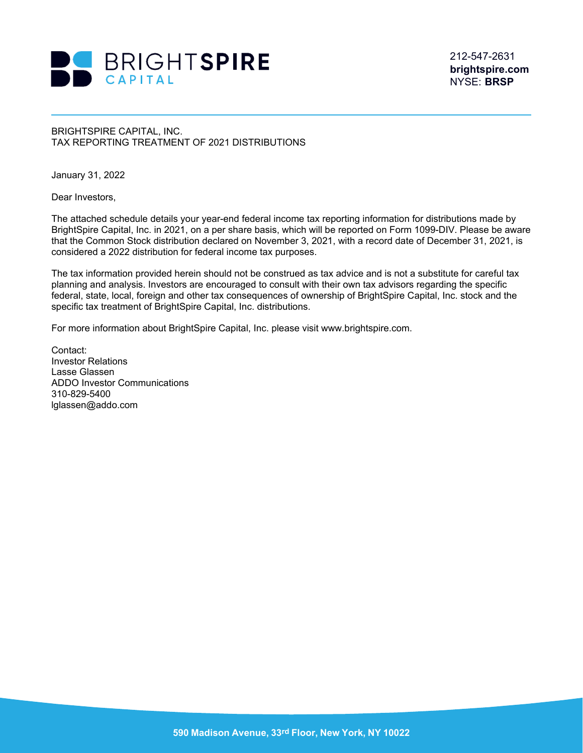

212-547-2631 **brightspire.com** NYSE: **BRSP**

## BRIGHTSPIRE CAPITAL, INC. TAX REPORTING TREATMENT OF 2021 DISTRIBUTIONS

January 31, 2022

Dear Investors,

The attached schedule details your year-end federal income tax reporting information for distributions made by BrightSpire Capital, Inc. in 2021, on a per share basis, which will be reported on Form 1099-DIV. Please be aware that the Common Stock distribution declared on November 3, 2021, with a record date of December 31, 2021, is considered a 2022 distribution for federal income tax purposes.

The tax information provided herein should not be construed as tax advice and is not a substitute for careful tax planning and analysis. Investors are encouraged to consult with their own tax advisors regarding the specific federal, state, local, foreign and other tax consequences of ownership of BrightSpire Capital, Inc. stock and the specific tax treatment of BrightSpire Capital, Inc. distributions.

For more information about BrightSpire Capital, Inc. please visit www.brightspire.com.

Contact: Investor Relations Lasse Glassen ADDO Investor Communications 310-829-5400 lglassen@addo.com